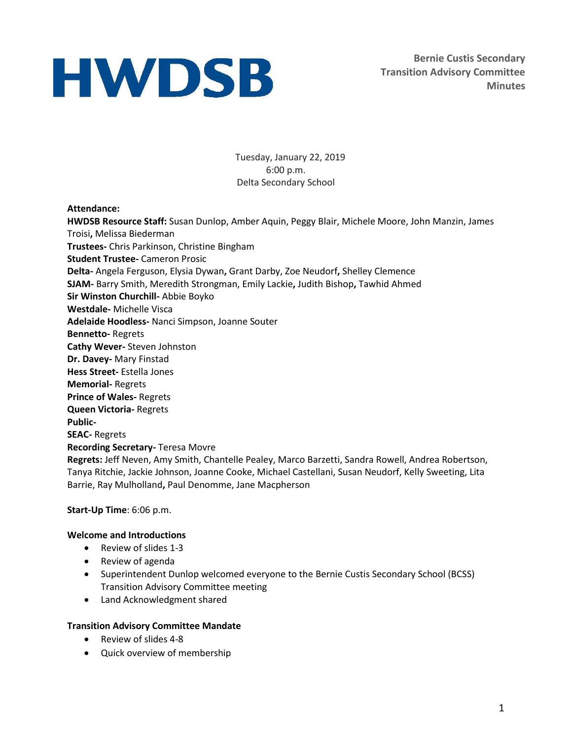**Bernie Custis Secondary Transition Advisory Committee Minutes**

Tuesday, January 22, 2019 6:00 p.m. Delta Secondary School

#### **Attendance:**

**HWDSB Resource Staff:** Susan Dunlop, Amber Aquin, Peggy Blair, Michele Moore, John Manzin, James Troisi**,** Melissa Biederman **Trustees-** Chris Parkinson, Christine Bingham **Student Trustee-** Cameron Prosic **Delta-** Angela Ferguson, Elysia Dywan**,** Grant Darby, Zoe Neudorf**,** Shelley Clemence **SJAM-** Barry Smith, Meredith Strongman, Emily Lackie**,** Judith Bishop**,** Tawhid Ahmed **Sir Winston Churchill-** Abbie Boyko **Westdale-** Michelle Visca **Adelaide Hoodless-** Nanci Simpson, Joanne Souter **Bennetto-** Regrets **Cathy Wever-** Steven Johnston **Dr. Davey-** Mary Finstad **Hess Street-** Estella Jones **Memorial-** Regrets **Prince of Wales-** Regrets **Queen Victoria-** Regrets **Public-SEAC-** Regrets **Recording Secretary-** Teresa Movre **Regrets:** Jeff Neven, Amy Smith, Chantelle Pealey, Marco Barzetti, Sandra Rowell, Andrea Robertson, Tanya Ritchie, Jackie Johnson, Joanne Cooke, Michael Castellani, Susan Neudorf, Kelly Sweeting, Lita Barrie, Ray Mulholland**,** Paul Denomme, Jane Macpherson

**Start-Up Time**: 6:06 p.m.

#### **Welcome and Introductions**

- Review of slides 1-3
- Review of agenda
- Superintendent Dunlop welcomed everyone to the Bernie Custis Secondary School (BCSS) Transition Advisory Committee meeting
- Land Acknowledgment shared

#### **Transition Advisory Committee Mandate**

- Review of slides 4-8
- Quick overview of membership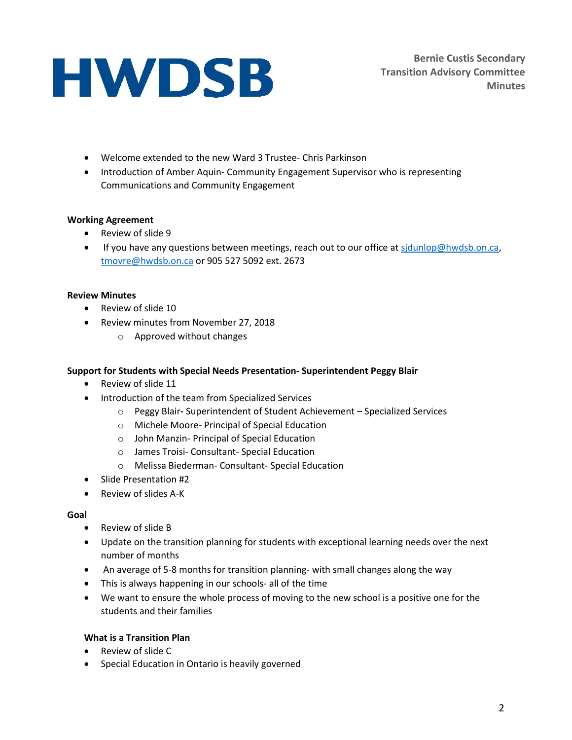- Welcome extended to the new Ward 3 Trustee- Chris Parkinson
- Introduction of Amber Aquin- Community Engagement Supervisor who is representing Communications and Community Engagement

#### **Working Agreement**

- Review of slide 9
- If you have any questions between meetings, reach out to our office a[t sjdunlop@hwdsb.on.ca,](mailto:sjdunlop@hwdsb.on.ca) [tmovre@hwdsb.on.ca](mailto:tmovre@hwdsb.on.ca) or 905 527 5092 ext. 2673

#### **Review Minutes**

- Review of slide 10
- Review minutes from November 27, 2018
	- o Approved without changes

#### **Support for Students with Special Needs Presentation- Superintendent Peggy Blair**

- Review of slide 11
- Introduction of the team from Specialized Services
	- o Peggy Blair**-** Superintendent of Student Achievement Specialized Services
	- o Michele Moore- Principal of Special Education
	- o John Manzin- Principal of Special Education
	- o James Troisi- Consultant- Special Education
	- o Melissa Biederman- Consultant- Special Education
- Slide Presentation #2
- Review of slides A-K

#### **Goal**

- Review of slide B
- Update on the transition planning for students with exceptional learning needs over the next number of months
- An average of 5-8 months for transition planning- with small changes along the way
- This is always happening in our schools- all of the time
- We want to ensure the whole process of moving to the new school is a positive one for the students and their families

#### **What is a Transition Plan**

- Review of slide C
- Special Education in Ontario is heavily governed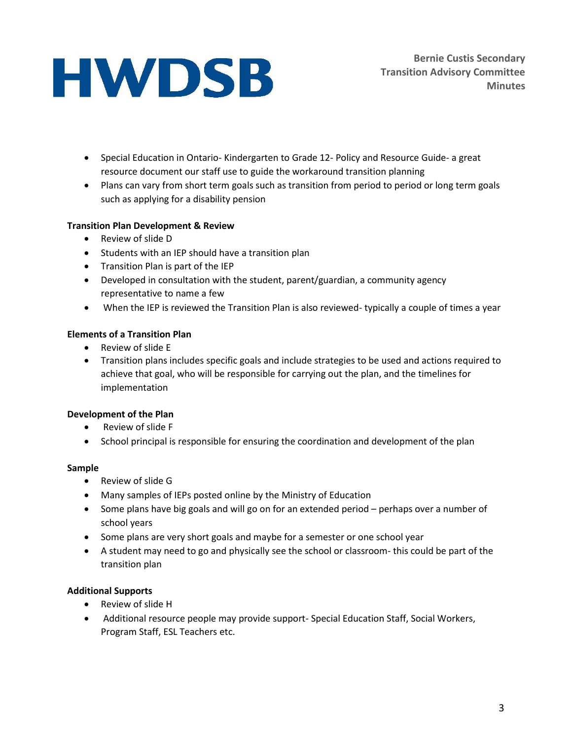- Special Education in Ontario- Kindergarten to Grade 12- Policy and Resource Guide- a great resource document our staff use to guide the workaround transition planning
- Plans can vary from short term goals such as transition from period to period or long term goals such as applying for a disability pension

## **Transition Plan Development & Review**

- Review of slide D
- Students with an IEP should have a transition plan
- Transition Plan is part of the IEP
- Developed in consultation with the student, parent/guardian, a community agency representative to name a few
- When the IEP is reviewed the Transition Plan is also reviewed- typically a couple of times a year

## **Elements of a Transition Plan**

- Review of slide E
- Transition plans includes specific goals and include strategies to be used and actions required to achieve that goal, who will be responsible for carrying out the plan, and the timelines for implementation

#### **Development of the Plan**

- Review of slide F
- School principal is responsible for ensuring the coordination and development of the plan

#### **Sample**

- Review of slide G
- Many samples of IEPs posted online by the Ministry of Education
- Some plans have big goals and will go on for an extended period perhaps over a number of school years
- Some plans are very short goals and maybe for a semester or one school year
- A student may need to go and physically see the school or classroom- this could be part of the transition plan

## **Additional Supports**

- Review of slide H
- Additional resource people may provide support- Special Education Staff, Social Workers, Program Staff, ESL Teachers etc.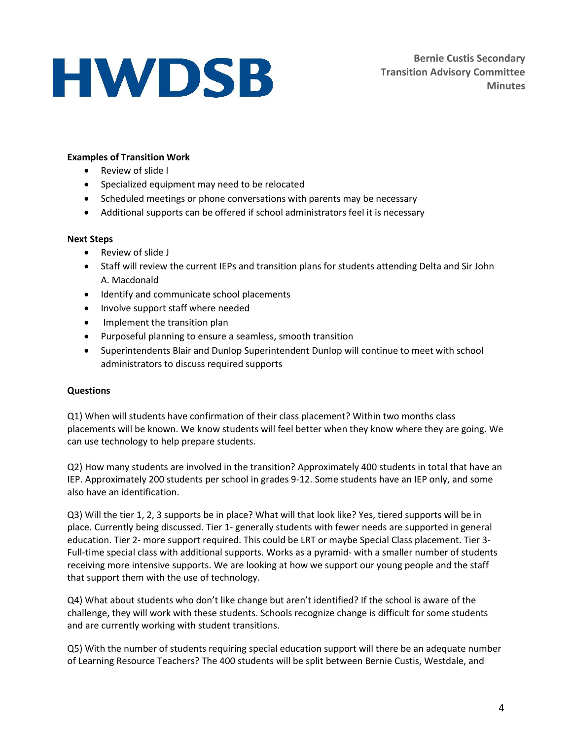#### **Examples of Transition Work**

- Review of slide I
- Specialized equipment may need to be relocated
- Scheduled meetings or phone conversations with parents may be necessary
- Additional supports can be offered if school administrators feel it is necessary

#### **Next Steps**

- Review of slide J
- Staff will review the current IEPs and transition plans for students attending Delta and Sir John A. Macdonald
- Identify and communicate school placements
- Involve support staff where needed
- Implement the transition plan
- Purposeful planning to ensure a seamless, smooth transition
- Superintendents Blair and Dunlop Superintendent Dunlop will continue to meet with school administrators to discuss required supports

#### **Questions**

Q1) When will students have confirmation of their class placement? Within two months class placements will be known. We know students will feel better when they know where they are going. We can use technology to help prepare students.

Q2) How many students are involved in the transition? Approximately 400 students in total that have an IEP. Approximately 200 students per school in grades 9-12. Some students have an IEP only, and some also have an identification.

Q3) Will the tier 1, 2, 3 supports be in place? What will that look like? Yes, tiered supports will be in place. Currently being discussed. Tier 1- generally students with fewer needs are supported in general education. Tier 2- more support required. This could be LRT or maybe Special Class placement. Tier 3- Full-time special class with additional supports. Works as a pyramid- with a smaller number of students receiving more intensive supports. We are looking at how we support our young people and the staff that support them with the use of technology.

Q4) What about students who don't like change but aren't identified? If the school is aware of the challenge, they will work with these students. Schools recognize change is difficult for some students and are currently working with student transitions.

Q5) With the number of students requiring special education support will there be an adequate number of Learning Resource Teachers? The 400 students will be split between Bernie Custis, Westdale, and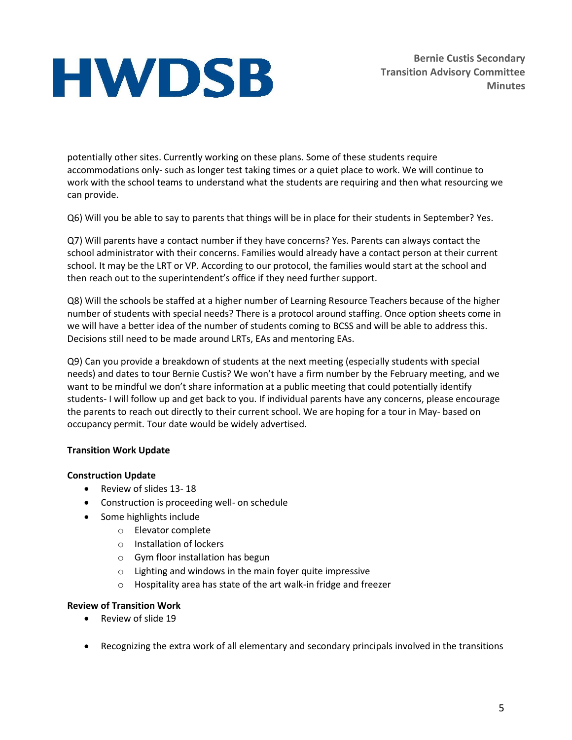**Bernie Custis Secondary Transition Advisory Committee Minutes**

potentially other sites. Currently working on these plans. Some of these students require accommodations only- such as longer test taking times or a quiet place to work. We will continue to work with the school teams to understand what the students are requiring and then what resourcing we can provide.

Q6) Will you be able to say to parents that things will be in place for their students in September? Yes.

Q7) Will parents have a contact number if they have concerns? Yes. Parents can always contact the school administrator with their concerns. Families would already have a contact person at their current school. It may be the LRT or VP. According to our protocol, the families would start at the school and then reach out to the superintendent's office if they need further support.

Q8) Will the schools be staffed at a higher number of Learning Resource Teachers because of the higher number of students with special needs? There is a protocol around staffing. Once option sheets come in we will have a better idea of the number of students coming to BCSS and will be able to address this. Decisions still need to be made around LRTs, EAs and mentoring EAs.

Q9) Can you provide a breakdown of students at the next meeting (especially students with special needs) and dates to tour Bernie Custis? We won't have a firm number by the February meeting, and we want to be mindful we don't share information at a public meeting that could potentially identify students- I will follow up and get back to you. If individual parents have any concerns, please encourage the parents to reach out directly to their current school. We are hoping for a tour in May- based on occupancy permit. Tour date would be widely advertised.

#### **Transition Work Update**

#### **Construction Update**

- Review of slides 13- 18
- Construction is proceeding well- on schedule
- Some highlights include
	- o Elevator complete
	- o Installation of lockers
	- o Gym floor installation has begun
	- o Lighting and windows in the main foyer quite impressive
	- o Hospitality area has state of the art walk-in fridge and freezer

#### **Review of Transition Work**

- Review of slide 19
- Recognizing the extra work of all elementary and secondary principals involved in the transitions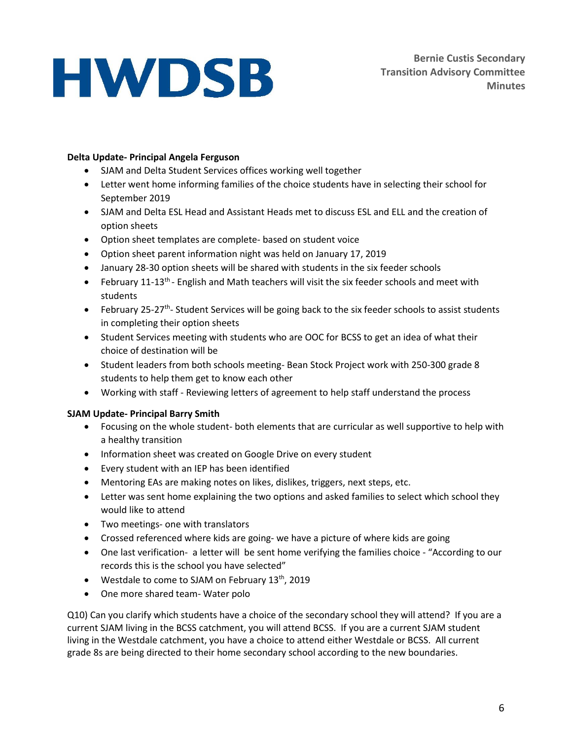### **Delta Update- Principal Angela Ferguson**

- SJAM and Delta Student Services offices working well together
- Letter went home informing families of the choice students have in selecting their school for September 2019
- SJAM and Delta ESL Head and Assistant Heads met to discuss ESL and ELL and the creation of option sheets
- Option sheet templates are complete- based on student voice
- Option sheet parent information night was held on January 17, 2019
- January 28-30 option sheets will be shared with students in the six feeder schools
- February 11-13<sup>th</sup> English and Math teachers will visit the six feeder schools and meet with students
- February 25-27<sup>th</sup>-Student Services will be going back to the six feeder schools to assist students in completing their option sheets
- Student Services meeting with students who are OOC for BCSS to get an idea of what their choice of destination will be
- Student leaders from both schools meeting-Bean Stock Project work with 250-300 grade 8 students to help them get to know each other
- Working with staff Reviewing letters of agreement to help staff understand the process

## **SJAM Update- Principal Barry Smith**

- Focusing on the whole student- both elements that are curricular as well supportive to help with a healthy transition
- Information sheet was created on Google Drive on every student
- Every student with an IEP has been identified
- Mentoring EAs are making notes on likes, dislikes, triggers, next steps, etc.
- Letter was sent home explaining the two options and asked families to select which school they would like to attend
- Two meetings- one with translators
- Crossed referenced where kids are going- we have a picture of where kids are going
- One last verification- a letter will be sent home verifying the families choice "According to our records this is the school you have selected"
- Westdale to come to SJAM on February  $13<sup>th</sup>$ , 2019
- One more shared team- Water polo

Q10) Can you clarify which students have a choice of the secondary school they will attend? If you are a current SJAM living in the BCSS catchment, you will attend BCSS. If you are a current SJAM student living in the Westdale catchment, you have a choice to attend either Westdale or BCSS. All current grade 8s are being directed to their home secondary school according to the new boundaries.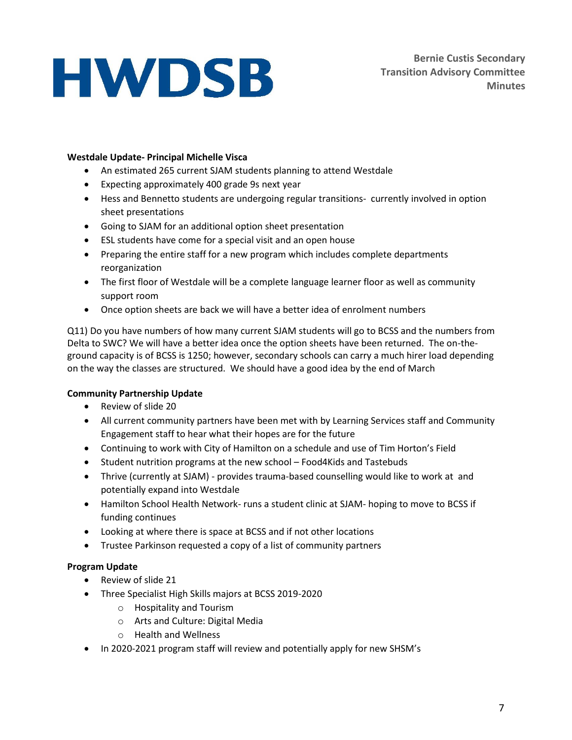### **Westdale Update- Principal Michelle Visca**

- An estimated 265 current SJAM students planning to attend Westdale
- Expecting approximately 400 grade 9s next year
- Hess and Bennetto students are undergoing regular transitions- currently involved in option sheet presentations
- Going to SJAM for an additional option sheet presentation
- ESL students have come for a special visit and an open house
- Preparing the entire staff for a new program which includes complete departments reorganization
- The first floor of Westdale will be a complete language learner floor as well as community support room
- Once option sheets are back we will have a better idea of enrolment numbers

Q11) Do you have numbers of how many current SJAM students will go to BCSS and the numbers from Delta to SWC? We will have a better idea once the option sheets have been returned. The on-theground capacity is of BCSS is 1250; however, secondary schools can carry a much hirer load depending on the way the classes are structured. We should have a good idea by the end of March

#### **Community Partnership Update**

- Review of slide 20
- All current community partners have been met with by Learning Services staff and Community Engagement staff to hear what their hopes are for the future
- Continuing to work with City of Hamilton on a schedule and use of Tim Horton's Field
- Student nutrition programs at the new school Food4Kids and Tastebuds
- Thrive (currently at SJAM) provides trauma-based counselling would like to work at and potentially expand into Westdale
- Hamilton School Health Network- runs a student clinic at SJAM- hoping to move to BCSS if funding continues
- Looking at where there is space at BCSS and if not other locations
- Trustee Parkinson requested a copy of a list of community partners

#### **Program Update**

- Review of slide 21
- Three Specialist High Skills majors at BCSS 2019-2020
	- o Hospitality and Tourism
	- o Arts and Culture: Digital Media
	- o Health and Wellness
- In 2020-2021 program staff will review and potentially apply for new SHSM's